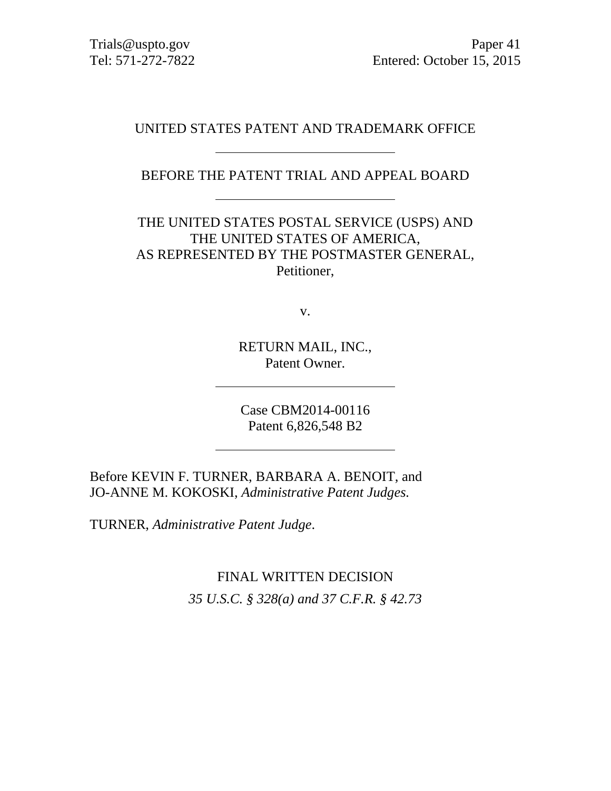Trials@uspto.gov Paper 41 Tel: 571-272-7822 Entered: October 15, 2015

#### UNITED STATES PATENT AND TRADEMARK OFFICE

BEFORE THE PATENT TRIAL AND APPEAL BOARD

THE UNITED STATES POSTAL SERVICE (USPS) AND THE UNITED STATES OF AMERICA, AS REPRESENTED BY THE POSTMASTER GENERAL, Petitioner,

v.

RETURN MAIL, INC., Patent Owner.

Case CBM2014-00116 Patent 6,826,548 B2

Before KEVIN F. TURNER, BARBARA A. BENOIT, and JO-ANNE M. KOKOSKI, *Administrative Patent Judges.* 

TURNER, *Administrative Patent Judge*.

FINAL WRITTEN DECISION

*35 U.S.C. § 328(a) and 37 C.F.R. § 42.73*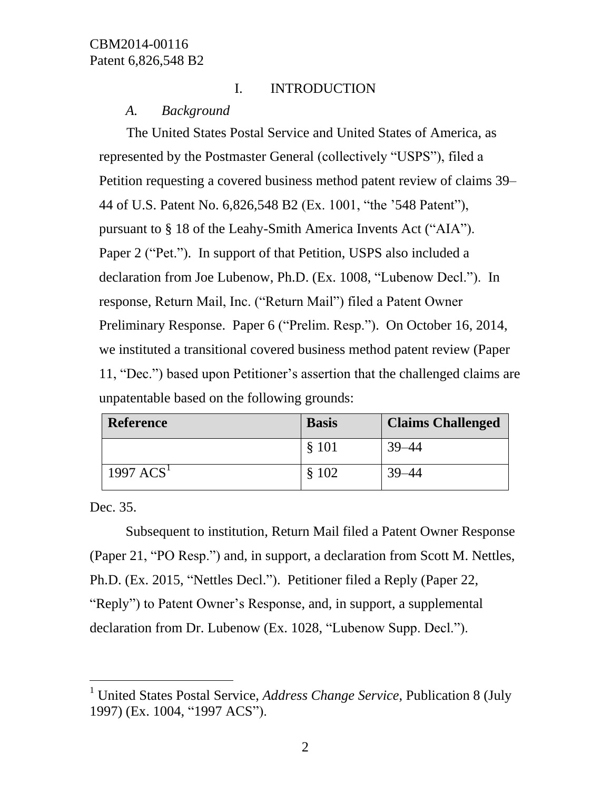# I. INTRODUCTION

## *A. Background*

The United States Postal Service and United States of America, as represented by the Postmaster General (collectively "USPS"), filed a Petition requesting a covered business method patent review of claims 39– 44 of U.S. Patent No. 6,826,548 B2 (Ex. 1001, "the '548 Patent"), pursuant to § 18 of the Leahy-Smith America Invents Act ("AIA"). Paper 2 ("Pet."). In support of that Petition, USPS also included a declaration from Joe Lubenow, Ph.D. (Ex. 1008, "Lubenow Decl."). In response, Return Mail, Inc. ("Return Mail") filed a Patent Owner Preliminary Response. Paper 6 ("Prelim. Resp."). On October 16, 2014, we instituted a transitional covered business method patent review (Paper 11, "Dec.") based upon Petitioner's assertion that the challenged claims are unpatentable based on the following grounds:

| <b>Reference</b> | <b>Basis</b> | <b>Claims Challenged</b> |
|------------------|--------------|--------------------------|
|                  | \$101        | 39–44                    |
| 1997 $ACS1$      | \$102        | 39–44                    |

Dec. 35.

 $\overline{a}$ 

Subsequent to institution, Return Mail filed a Patent Owner Response (Paper 21, "PO Resp.") and, in support, a declaration from Scott M. Nettles, Ph.D. (Ex. 2015, "Nettles Decl."). Petitioner filed a Reply (Paper 22, "Reply") to Patent Owner's Response, and, in support, a supplemental declaration from Dr. Lubenow (Ex. 1028, "Lubenow Supp. Decl.").

<sup>1</sup> United States Postal Service, *Address Change Service*, Publication 8 (July 1997) (Ex. 1004, "1997 ACS").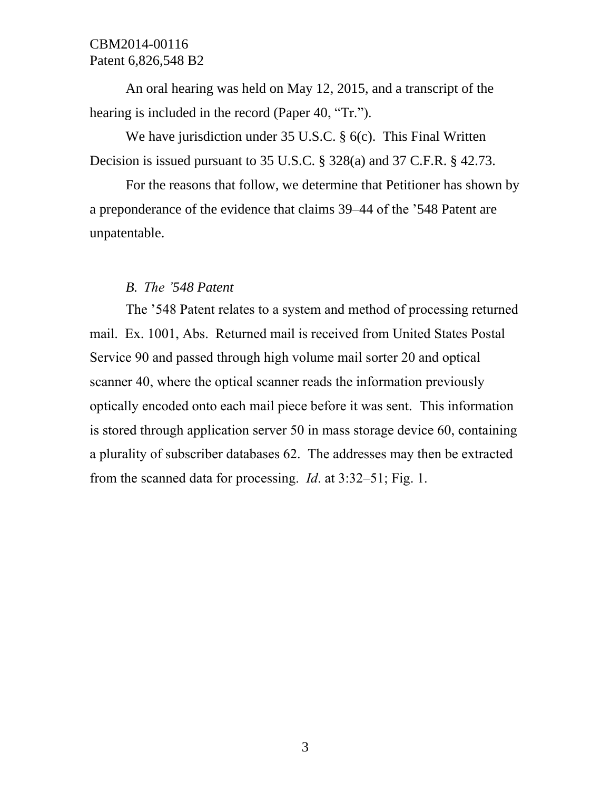An oral hearing was held on May 12, 2015, and a transcript of the hearing is included in the record (Paper 40, "Tr.").

We have jurisdiction under 35 U.S.C. § 6(c). This Final Written Decision is issued pursuant to 35 U.S.C. § 328(a) and 37 C.F.R. § 42.73.

For the reasons that follow, we determine that Petitioner has shown by a preponderance of the evidence that claims 39–44 of the '548 Patent are unpatentable.

## *B. The '548 Patent*

The '548 Patent relates to a system and method of processing returned mail. Ex. 1001, Abs. Returned mail is received from United States Postal Service 90 and passed through high volume mail sorter 20 and optical scanner 40, where the optical scanner reads the information previously optically encoded onto each mail piece before it was sent. This information is stored through application server 50 in mass storage device 60, containing a plurality of subscriber databases 62. The addresses may then be extracted from the scanned data for processing. *Id*. at 3:32–51; Fig. 1.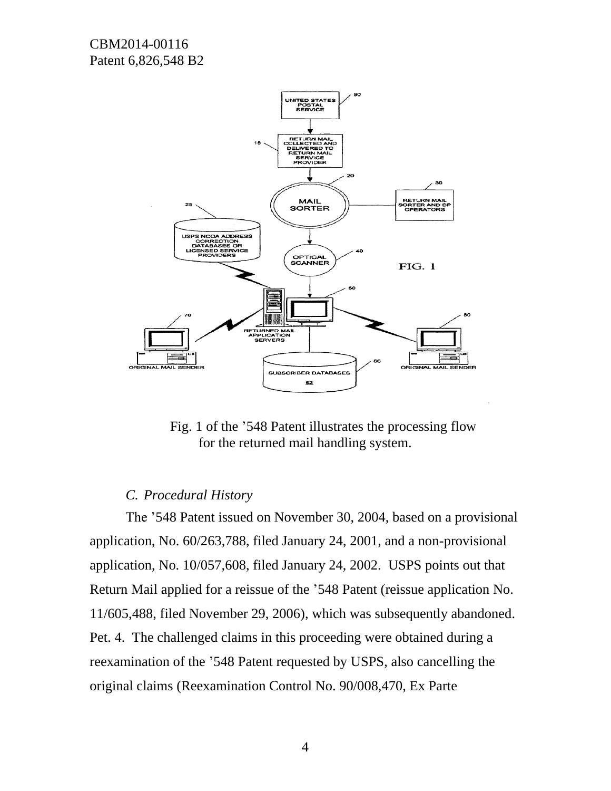

Fig. 1 of the '548 Patent illustrates the processing flow for the returned mail handling system.

#### *C. Procedural History*

The '548 Patent issued on November 30, 2004, based on a provisional application, No. 60/263,788, filed January 24, 2001, and a non-provisional application, No. 10/057,608, filed January 24, 2002. USPS points out that Return Mail applied for a reissue of the '548 Patent (reissue application No. 11/605,488, filed November 29, 2006), which was subsequently abandoned. Pet. 4. The challenged claims in this proceeding were obtained during a reexamination of the '548 Patent requested by USPS, also cancelling the original claims (Reexamination Control No. 90/008,470, Ex Parte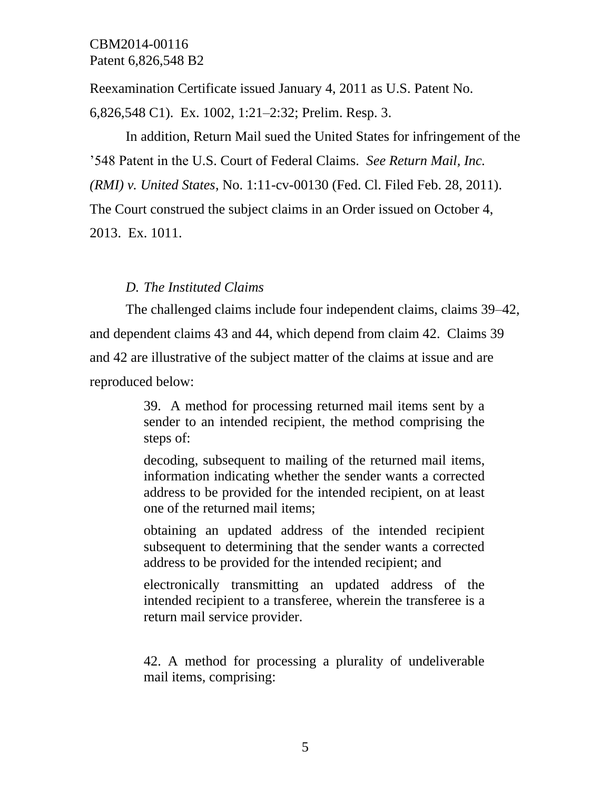Reexamination Certificate issued January 4, 2011 as U.S. Patent No.

6,826,548 C1). Ex. 1002, 1:21–2:32; Prelim. Resp. 3.

In addition, Return Mail sued the United States for infringement of the '548 Patent in the U.S. Court of Federal Claims. *See Return Mail, Inc.* 

*(RMI) v. United States*, No. 1:11-cv-00130 (Fed. Cl. Filed Feb. 28, 2011).

The Court construed the subject claims in an Order issued on October 4,

2013. Ex. 1011.

# *D. The Instituted Claims*

The challenged claims include four independent claims, claims 39–42, and dependent claims 43 and 44, which depend from claim 42. Claims 39 and 42 are illustrative of the subject matter of the claims at issue and are reproduced below:

> 39. A method for processing returned mail items sent by a sender to an intended recipient, the method comprising the steps of:

> decoding, subsequent to mailing of the returned mail items, information indicating whether the sender wants a corrected address to be provided for the intended recipient, on at least one of the returned mail items;

> obtaining an updated address of the intended recipient subsequent to determining that the sender wants a corrected address to be provided for the intended recipient; and

> electronically transmitting an updated address of the intended recipient to a transferee, wherein the transferee is a return mail service provider.

> 42. A method for processing a plurality of undeliverable mail items, comprising: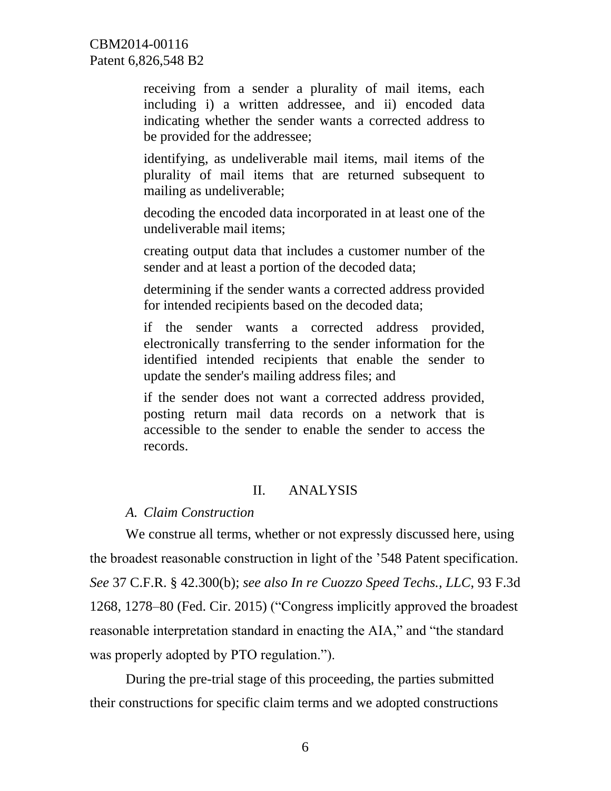receiving from a sender a plurality of mail items, each including i) a written addressee, and ii) encoded data indicating whether the sender wants a corrected address to be provided for the addressee;

identifying, as undeliverable mail items, mail items of the plurality of mail items that are returned subsequent to mailing as undeliverable;

decoding the encoded data incorporated in at least one of the undeliverable mail items;

creating output data that includes a customer number of the sender and at least a portion of the decoded data;

determining if the sender wants a corrected address provided for intended recipients based on the decoded data;

if the sender wants a corrected address provided, electronically transferring to the sender information for the identified intended recipients that enable the sender to update the sender's mailing address files; and

if the sender does not want a corrected address provided, posting return mail data records on a network that is accessible to the sender to enable the sender to access the records.

#### II. ANALYSIS

# *A. Claim Construction*

We construe all terms, whether or not expressly discussed here, using the broadest reasonable construction in light of the '548 Patent specification. *See* 37 C.F.R. § 42.300(b); *see also In re Cuozzo Speed Techs., LLC*, 93 F.3d 1268, 1278–80 (Fed. Cir. 2015) ("Congress implicitly approved the broadest reasonable interpretation standard in enacting the AIA," and "the standard was properly adopted by PTO regulation.").

During the pre-trial stage of this proceeding, the parties submitted their constructions for specific claim terms and we adopted constructions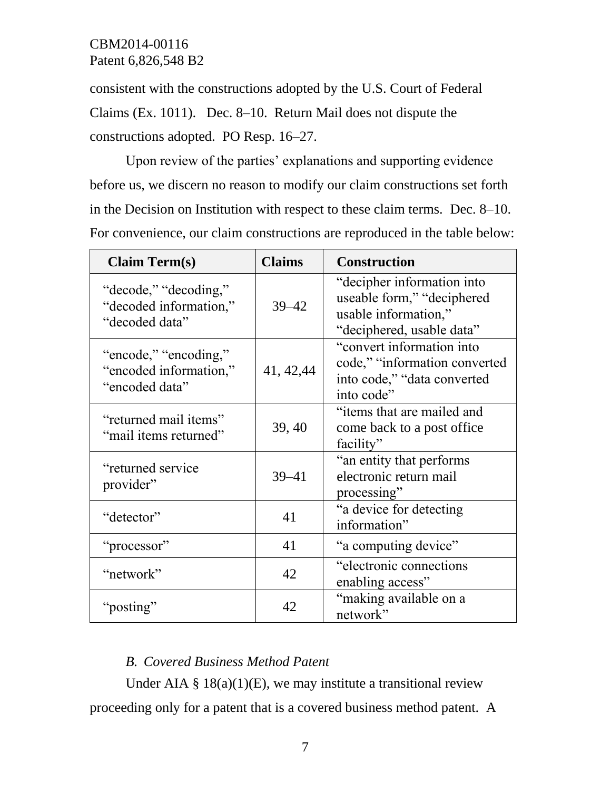consistent with the constructions adopted by the U.S. Court of Federal Claims (Ex. 1011). Dec. 8–10. Return Mail does not dispute the constructions adopted. PO Resp. 16–27.

Upon review of the parties' explanations and supporting evidence before us, we discern no reason to modify our claim constructions set forth in the Decision on Institution with respect to these claim terms. Dec. 8–10. For convenience, our claim constructions are reproduced in the table below:

| <b>Claim Term(s)</b>                                              | <b>Claims</b> | <b>Construction</b>                                                                                           |
|-------------------------------------------------------------------|---------------|---------------------------------------------------------------------------------------------------------------|
| "decode," "decoding,"<br>"decoded information,"<br>"decoded data" | $39 - 42$     | "decipher information into<br>useable form," "deciphered<br>usable information,"<br>"deciphered, usable data" |
| "encode," "encoding,"<br>"encoded information,"<br>"encoded data" | 41, 42, 44    | "convert information into<br>code," "information converted<br>into code," "data converted<br>into code"       |
| "returned mail items"<br>"mail items returned"                    | 39, 40        | "items that are mailed and<br>come back to a post office<br>facility"                                         |
| "returned service"<br>provider"                                   | $39 - 41$     | "an entity that performs"<br>electronic return mail<br>processing"                                            |
| "detector"                                                        | 41            | "a device for detecting<br>information"                                                                       |
| "processor"                                                       | 41            | "a computing device"                                                                                          |
| "network"                                                         | 42            | "electronic connections"<br>enabling access"                                                                  |
| "posting"                                                         | 42            | "making available on a<br>network"                                                                            |

# *B. Covered Business Method Patent*

Under AIA  $\S$  18(a)(1)(E), we may institute a transitional review proceeding only for a patent that is a covered business method patent. A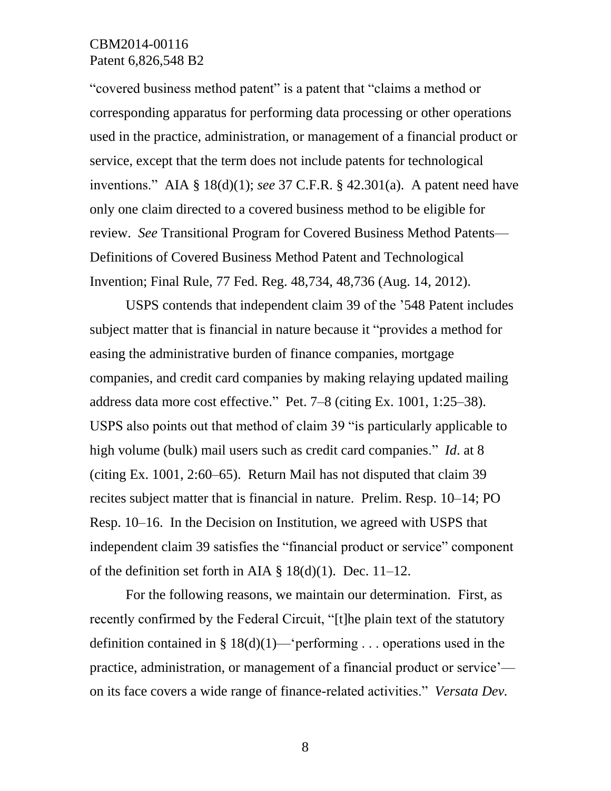"covered business method patent" is a patent that "claims a method or corresponding apparatus for performing data processing or other operations used in the practice, administration, or management of a financial product or service, except that the term does not include patents for technological inventions." AIA § 18(d)(1); *see* 37 C.F.R. § 42.301(a). A patent need have only one claim directed to a covered business method to be eligible for review. *See* Transitional Program for Covered Business Method Patents— Definitions of Covered Business Method Patent and Technological Invention; Final Rule, 77 Fed. Reg. 48,734, 48,736 (Aug. 14, 2012).

USPS contends that independent claim 39 of the '548 Patent includes subject matter that is financial in nature because it "provides a method for easing the administrative burden of finance companies, mortgage companies, and credit card companies by making relaying updated mailing address data more cost effective." Pet. 7–8 (citing Ex. 1001, 1:25–38). USPS also points out that method of claim 39 "is particularly applicable to high volume (bulk) mail users such as credit card companies." *Id*. at 8 (citing Ex. 1001, 2:60–65). Return Mail has not disputed that claim 39 recites subject matter that is financial in nature. Prelim. Resp. 10–14; PO Resp. 10–16. In the Decision on Institution, we agreed with USPS that independent claim 39 satisfies the "financial product or service" component of the definition set forth in AIA  $\S$  18(d)(1). Dec. 11–12.

For the following reasons, we maintain our determination. First, as recently confirmed by the Federal Circuit, "[t]he plain text of the statutory definition contained in §  $18(d)(1)$ —'performing . . . operations used in the practice, administration, or management of a financial product or service' on its face covers a wide range of finance-related activities." *Versata Dev.*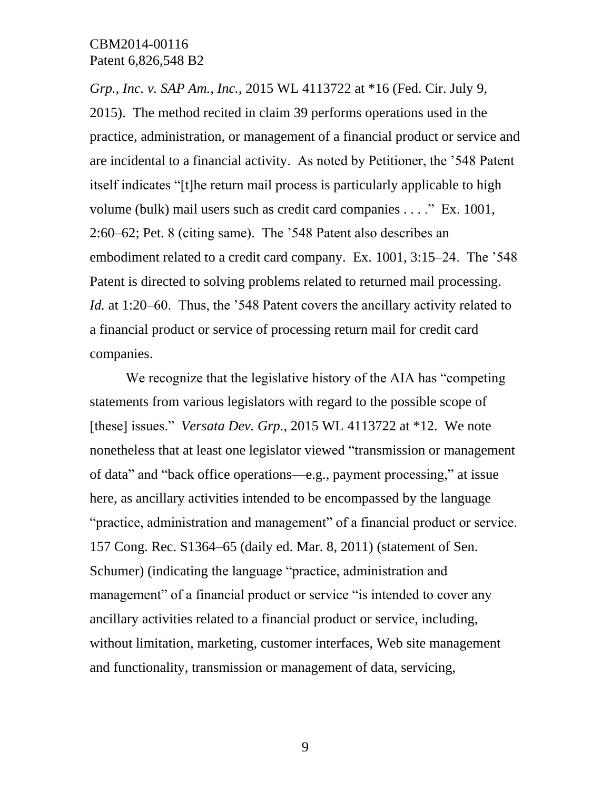*Grp., Inc. v. SAP Am., Inc.,* 2015 WL 4113722 at \*16 (Fed. Cir. July 9, 2015). The method recited in claim 39 performs operations used in the practice, administration, or management of a financial product or service and are incidental to a financial activity. As noted by Petitioner, the '548 Patent itself indicates "[t]he return mail process is particularly applicable to high volume (bulk) mail users such as credit card companies . . . ." Ex. 1001, 2:60–62; Pet. 8 (citing same). The '548 Patent also describes an embodiment related to a credit card company. Ex. 1001, 3:15–24. The '548 Patent is directed to solving problems related to returned mail processing. *Id.* at 1:20–60. Thus, the '548 Patent covers the ancillary activity related to a financial product or service of processing return mail for credit card companies.

We recognize that the legislative history of the AIA has "competing statements from various legislators with regard to the possible scope of [these] issues." *Versata Dev. Grp.*, 2015 WL 4113722 at \*12. We note nonetheless that at least one legislator viewed "transmission or management of data" and "back office operations—e.g., payment processing," at issue here, as ancillary activities intended to be encompassed by the language "practice, administration and management" of a financial product or service. 157 Cong. Rec. S1364–65 (daily ed. Mar. 8, 2011) (statement of Sen. Schumer) (indicating the language "practice, administration and management" of a financial product or service "is intended to cover any ancillary activities related to a financial product or service, including, without limitation, marketing, customer interfaces, Web site management and functionality, transmission or management of data, servicing,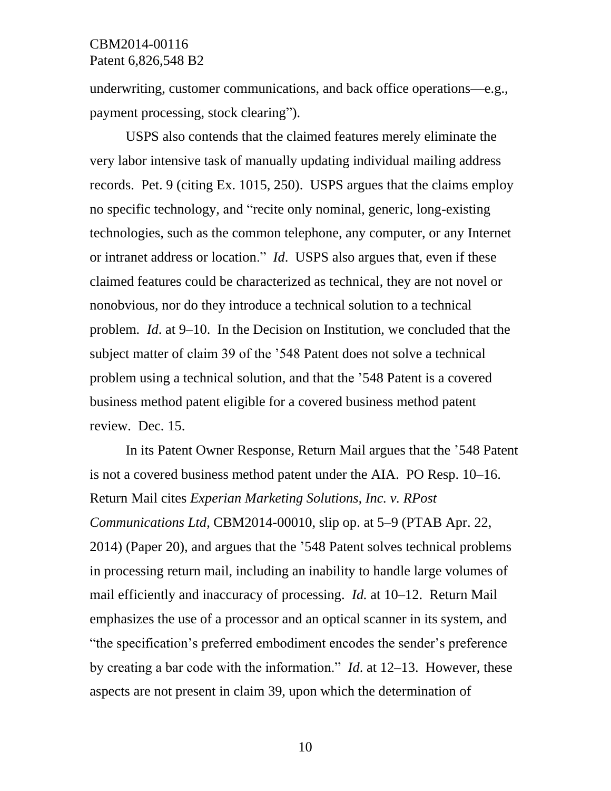underwriting, customer communications, and back office operations—e.g., payment processing, stock clearing").

USPS also contends that the claimed features merely eliminate the very labor intensive task of manually updating individual mailing address records. Pet. 9 (citing Ex. 1015, 250). USPS argues that the claims employ no specific technology, and "recite only nominal, generic, long-existing technologies, such as the common telephone, any computer, or any Internet or intranet address or location." *Id*. USPS also argues that, even if these claimed features could be characterized as technical, they are not novel or nonobvious, nor do they introduce a technical solution to a technical problem. *Id*. at 9–10. In the Decision on Institution, we concluded that the subject matter of claim 39 of the '548 Patent does not solve a technical problem using a technical solution, and that the '548 Patent is a covered business method patent eligible for a covered business method patent review. Dec. 15.

In its Patent Owner Response, Return Mail argues that the '548 Patent is not a covered business method patent under the AIA. PO Resp. 10–16. Return Mail cites *Experian Marketing Solutions, Inc. v. RPost Communications Ltd*, CBM2014-00010, slip op. at 5–9 (PTAB Apr. 22, 2014) (Paper 20), and argues that the '548 Patent solves technical problems in processing return mail, including an inability to handle large volumes of mail efficiently and inaccuracy of processing. *Id.* at 10–12. Return Mail emphasizes the use of a processor and an optical scanner in its system, and "the specification's preferred embodiment encodes the sender's preference by creating a bar code with the information." *Id*. at 12–13. However, these aspects are not present in claim 39, upon which the determination of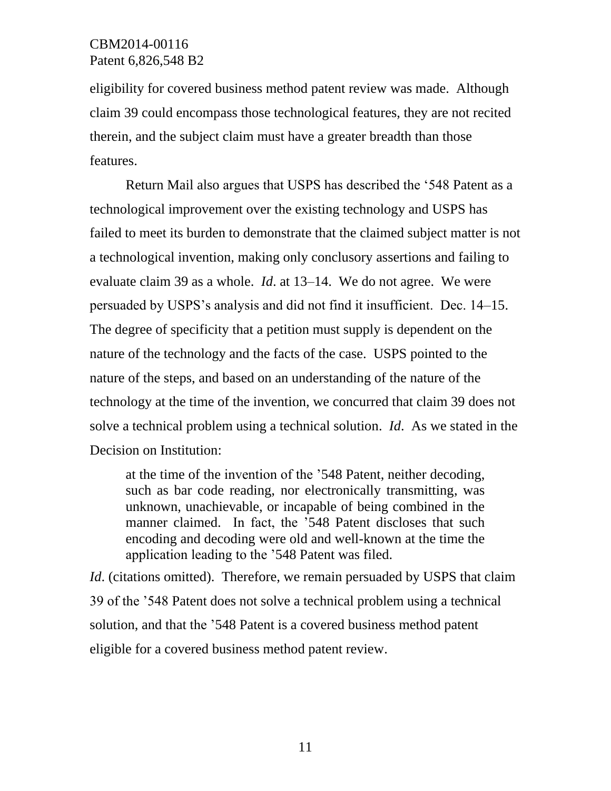eligibility for covered business method patent review was made. Although claim 39 could encompass those technological features, they are not recited therein, and the subject claim must have a greater breadth than those features.

Return Mail also argues that USPS has described the '548 Patent as a technological improvement over the existing technology and USPS has failed to meet its burden to demonstrate that the claimed subject matter is not a technological invention, making only conclusory assertions and failing to evaluate claim 39 as a whole. *Id*. at 13–14. We do not agree. We were persuaded by USPS's analysis and did not find it insufficient. Dec. 14–15. The degree of specificity that a petition must supply is dependent on the nature of the technology and the facts of the case. USPS pointed to the nature of the steps, and based on an understanding of the nature of the technology at the time of the invention, we concurred that claim 39 does not solve a technical problem using a technical solution. *Id*. As we stated in the Decision on Institution:

at the time of the invention of the '548 Patent, neither decoding, such as bar code reading, nor electronically transmitting, was unknown, unachievable, or incapable of being combined in the manner claimed. In fact, the '548 Patent discloses that such encoding and decoding were old and well-known at the time the application leading to the '548 Patent was filed.

*Id.* (citations omitted). Therefore, we remain persuaded by USPS that claim 39 of the '548 Patent does not solve a technical problem using a technical solution, and that the '548 Patent is a covered business method patent eligible for a covered business method patent review.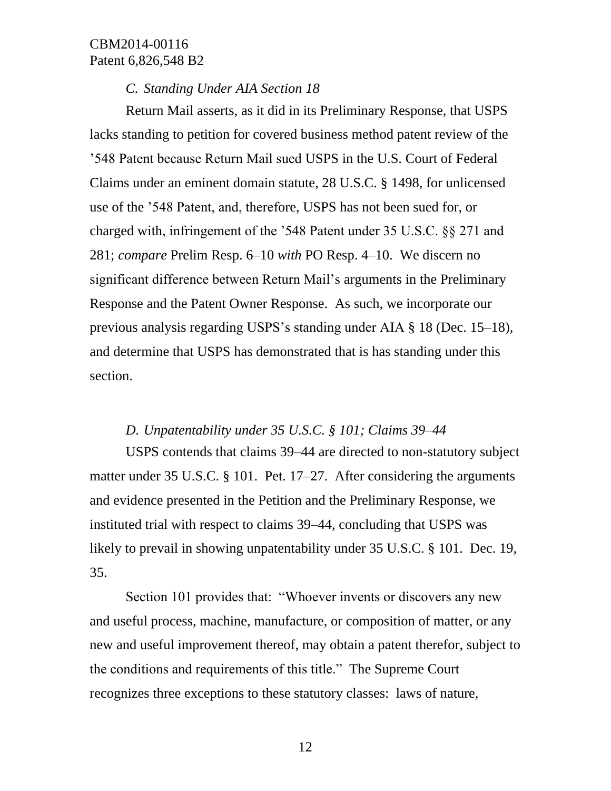#### *C. Standing Under AIA Section 18*

Return Mail asserts, as it did in its Preliminary Response, that USPS lacks standing to petition for covered business method patent review of the '548 Patent because Return Mail sued USPS in the U.S. Court of Federal Claims under an eminent domain statute, 28 U.S.C. § 1498, for unlicensed use of the '548 Patent, and, therefore, USPS has not been sued for, or charged with, infringement of the '548 Patent under 35 U.S.C. §§ 271 and 281; *compare* Prelim Resp. 6–10 *with* PO Resp. 4–10. We discern no significant difference between Return Mail's arguments in the Preliminary Response and the Patent Owner Response. As such, we incorporate our previous analysis regarding USPS's standing under AIA § 18 (Dec. 15–18), and determine that USPS has demonstrated that is has standing under this section.

#### *D. Unpatentability under 35 U.S.C. § 101; Claims 39–44*

USPS contends that claims 39–44 are directed to non-statutory subject matter under 35 U.S.C. § 101. Pet. 17–27. After considering the arguments and evidence presented in the Petition and the Preliminary Response, we instituted trial with respect to claims 39–44, concluding that USPS was likely to prevail in showing unpatentability under 35 U.S.C. § 101. Dec. 19, 35.

Section 101 provides that: "Whoever invents or discovers any new and useful process, machine, manufacture, or composition of matter, or any new and useful improvement thereof, may obtain a patent therefor, subject to the conditions and requirements of this title." The Supreme Court recognizes three exceptions to these statutory classes: laws of nature,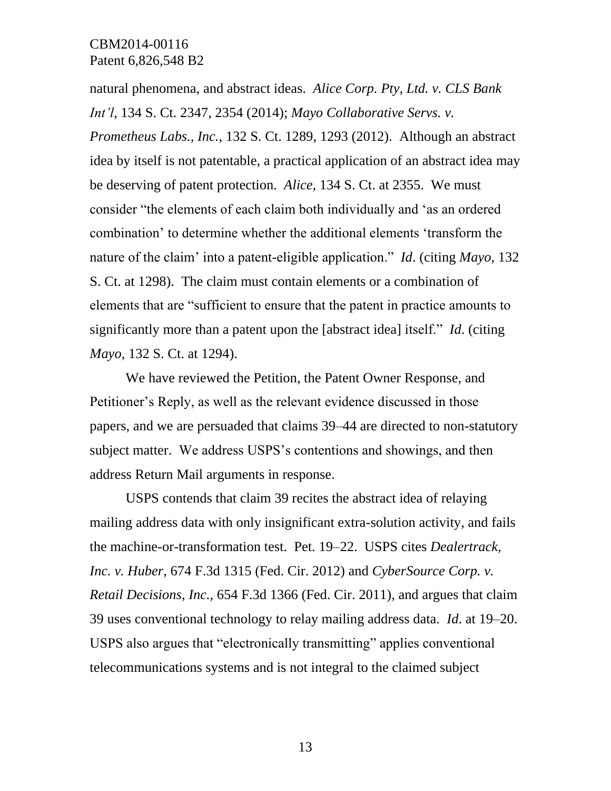natural phenomena, and abstract ideas. *Alice Corp. Pty, Ltd. v. CLS Bank Int'l*, 134 S. Ct. 2347, 2354 (2014); *Mayo Collaborative Servs. v. Prometheus Labs., Inc.*, 132 S. Ct. 1289, 1293 (2012). Although an abstract idea by itself is not patentable, a practical application of an abstract idea may be deserving of patent protection. *Alice*, 134 S. Ct. at 2355. We must consider "the elements of each claim both individually and 'as an ordered combination' to determine whether the additional elements 'transform the nature of the claim' into a patent-eligible application." *Id*. (citing *Mayo*, 132 S. Ct. at 1298). The claim must contain elements or a combination of elements that are "sufficient to ensure that the patent in practice amounts to significantly more than a patent upon the [abstract idea] itself." *Id*. (citing *Mayo*, 132 S. Ct. at 1294).

We have reviewed the Petition, the Patent Owner Response, and Petitioner's Reply, as well as the relevant evidence discussed in those papers, and we are persuaded that claims 39–44 are directed to non-statutory subject matter. We address USPS's contentions and showings, and then address Return Mail arguments in response.

USPS contends that claim 39 recites the abstract idea of relaying mailing address data with only insignificant extra-solution activity, and fails the machine-or-transformation test. Pet. 19–22. USPS cites *Dealertrack, Inc. v. Huber*, 674 F.3d 1315 (Fed. Cir. 2012) and *CyberSource Corp. v. Retail Decisions*, *Inc.*, 654 F.3d 1366 (Fed. Cir. 2011), and argues that claim 39 uses conventional technology to relay mailing address data. *Id*. at 19–20. USPS also argues that "electronically transmitting" applies conventional telecommunications systems and is not integral to the claimed subject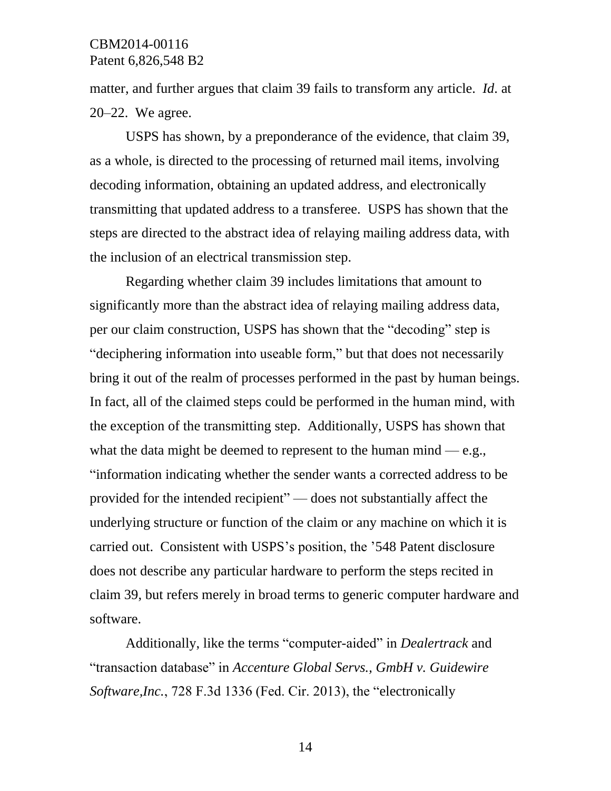matter, and further argues that claim 39 fails to transform any article. *Id*. at 20–22. We agree.

USPS has shown, by a preponderance of the evidence, that claim 39, as a whole, is directed to the processing of returned mail items, involving decoding information, obtaining an updated address, and electronically transmitting that updated address to a transferee. USPS has shown that the steps are directed to the abstract idea of relaying mailing address data, with the inclusion of an electrical transmission step.

Regarding whether claim 39 includes limitations that amount to significantly more than the abstract idea of relaying mailing address data, per our claim construction, USPS has shown that the "decoding" step is "deciphering information into useable form," but that does not necessarily bring it out of the realm of processes performed in the past by human beings. In fact, all of the claimed steps could be performed in the human mind, with the exception of the transmitting step. Additionally, USPS has shown that what the data might be deemed to represent to the human mind — e.g., "information indicating whether the sender wants a corrected address to be provided for the intended recipient" — does not substantially affect the underlying structure or function of the claim or any machine on which it is carried out. Consistent with USPS's position, the '548 Patent disclosure does not describe any particular hardware to perform the steps recited in claim 39, but refers merely in broad terms to generic computer hardware and software.

Additionally, like the terms "computer-aided" in *Dealertrack* and "transaction database" in *Accenture Global Servs., GmbH v. Guidewire Software,Inc.*, 728 F.3d 1336 (Fed. Cir. 2013), the "electronically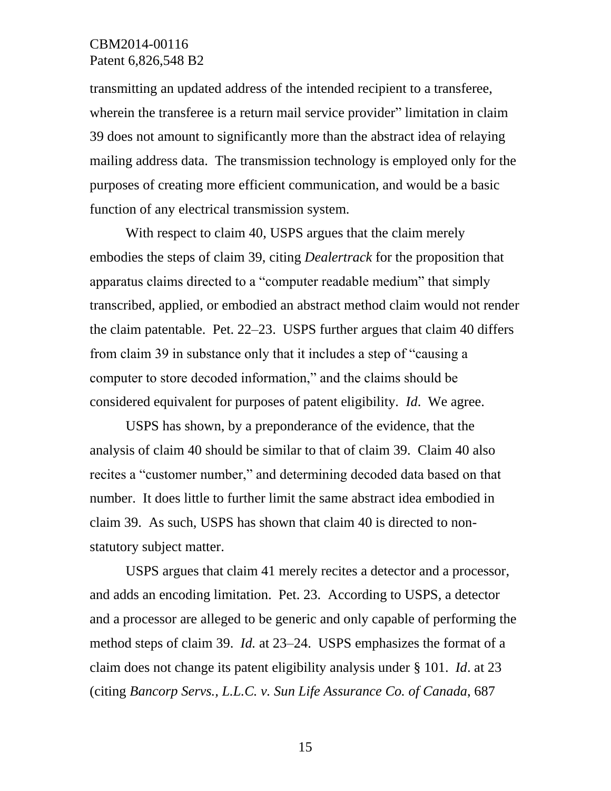transmitting an updated address of the intended recipient to a transferee, wherein the transferee is a return mail service provider" limitation in claim 39 does not amount to significantly more than the abstract idea of relaying mailing address data. The transmission technology is employed only for the purposes of creating more efficient communication, and would be a basic function of any electrical transmission system.

With respect to claim 40, USPS argues that the claim merely embodies the steps of claim 39, citing *Dealertrack* for the proposition that apparatus claims directed to a "computer readable medium" that simply transcribed, applied, or embodied an abstract method claim would not render the claim patentable. Pet. 22–23. USPS further argues that claim 40 differs from claim 39 in substance only that it includes a step of "causing a computer to store decoded information," and the claims should be considered equivalent for purposes of patent eligibility. *Id*. We agree.

USPS has shown, by a preponderance of the evidence, that the analysis of claim 40 should be similar to that of claim 39. Claim 40 also recites a "customer number," and determining decoded data based on that number. It does little to further limit the same abstract idea embodied in claim 39. As such, USPS has shown that claim 40 is directed to nonstatutory subject matter.

USPS argues that claim 41 merely recites a detector and a processor, and adds an encoding limitation. Pet. 23. According to USPS, a detector and a processor are alleged to be generic and only capable of performing the method steps of claim 39. *Id.* at 23–24. USPS emphasizes the format of a claim does not change its patent eligibility analysis under § 101. *Id*. at 23 (citing *Bancorp Servs., L.L.C. v. Sun Life Assurance Co. of Canada*, 687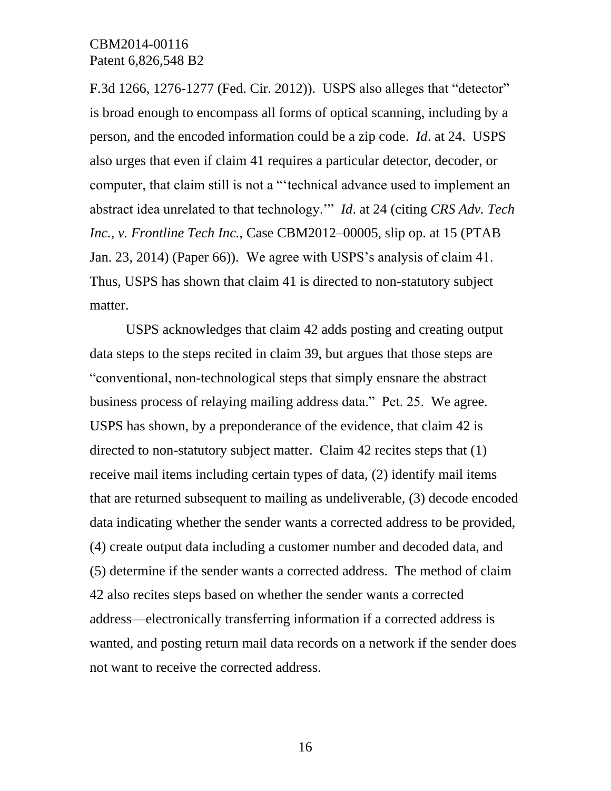F.3d 1266, 1276-1277 (Fed. Cir. 2012)). USPS also alleges that "detector" is broad enough to encompass all forms of optical scanning, including by a person, and the encoded information could be a zip code. *Id*. at 24. USPS also urges that even if claim 41 requires a particular detector, decoder, or computer, that claim still is not a "'technical advance used to implement an abstract idea unrelated to that technology.'" *Id*. at 24 (citing *CRS Adv. Tech Inc., v. Frontline Tech Inc.*, Case CBM2012–00005, slip op. at 15 (PTAB Jan. 23, 2014) (Paper 66)). We agree with USPS's analysis of claim 41. Thus, USPS has shown that claim 41 is directed to non-statutory subject matter.

USPS acknowledges that claim 42 adds posting and creating output data steps to the steps recited in claim 39, but argues that those steps are "conventional, non-technological steps that simply ensnare the abstract business process of relaying mailing address data." Pet. 25. We agree. USPS has shown, by a preponderance of the evidence, that claim 42 is directed to non-statutory subject matter. Claim 42 recites steps that (1) receive mail items including certain types of data, (2) identify mail items that are returned subsequent to mailing as undeliverable, (3) decode encoded data indicating whether the sender wants a corrected address to be provided, (4) create output data including a customer number and decoded data, and (5) determine if the sender wants a corrected address. The method of claim 42 also recites steps based on whether the sender wants a corrected address—electronically transferring information if a corrected address is wanted, and posting return mail data records on a network if the sender does not want to receive the corrected address.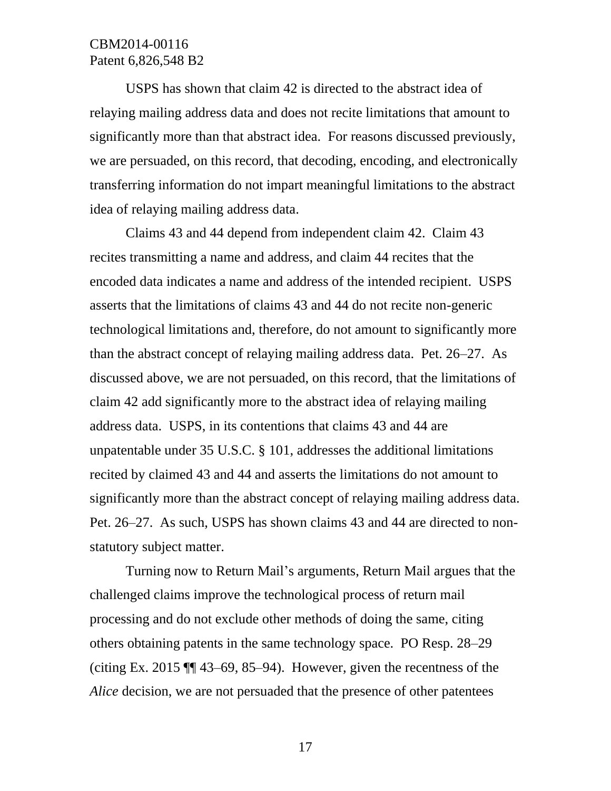USPS has shown that claim 42 is directed to the abstract idea of relaying mailing address data and does not recite limitations that amount to significantly more than that abstract idea. For reasons discussed previously, we are persuaded, on this record, that decoding, encoding, and electronically transferring information do not impart meaningful limitations to the abstract idea of relaying mailing address data.

Claims 43 and 44 depend from independent claim 42. Claim 43 recites transmitting a name and address, and claim 44 recites that the encoded data indicates a name and address of the intended recipient. USPS asserts that the limitations of claims 43 and 44 do not recite non-generic technological limitations and, therefore, do not amount to significantly more than the abstract concept of relaying mailing address data. Pet. 26–27. As discussed above, we are not persuaded, on this record, that the limitations of claim 42 add significantly more to the abstract idea of relaying mailing address data. USPS, in its contentions that claims 43 and 44 are unpatentable under 35 U.S.C. § 101, addresses the additional limitations recited by claimed 43 and 44 and asserts the limitations do not amount to significantly more than the abstract concept of relaying mailing address data. Pet. 26–27. As such, USPS has shown claims 43 and 44 are directed to nonstatutory subject matter.

Turning now to Return Mail's arguments, Return Mail argues that the challenged claims improve the technological process of return mail processing and do not exclude other methods of doing the same, citing others obtaining patents in the same technology space. PO Resp. 28–29 (citing Ex. 2015 ¶¶ 43–69, 85–94). However, given the recentness of the *Alice* decision, we are not persuaded that the presence of other patentees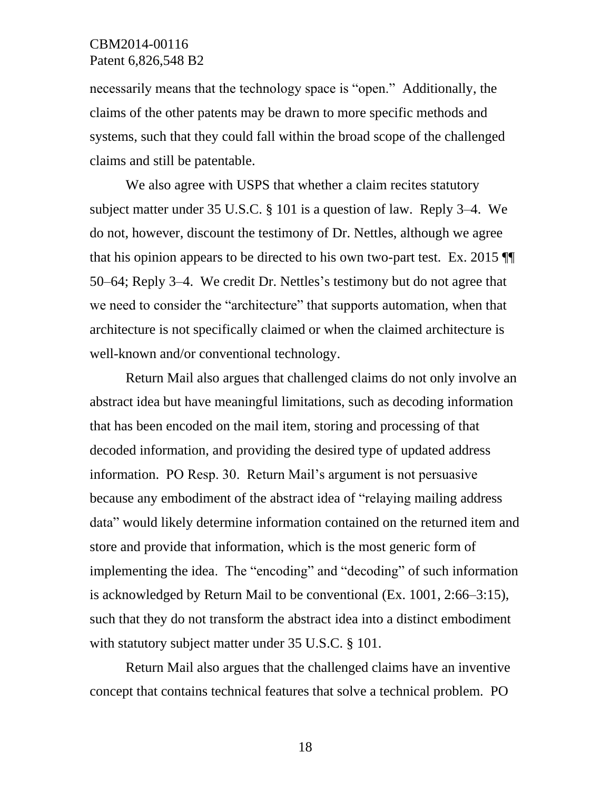necessarily means that the technology space is "open." Additionally, the claims of the other patents may be drawn to more specific methods and systems, such that they could fall within the broad scope of the challenged claims and still be patentable.

We also agree with USPS that whether a claim recites statutory subject matter under 35 U.S.C. § 101 is a question of law. Reply 3–4. We do not, however, discount the testimony of Dr. Nettles, although we agree that his opinion appears to be directed to his own two-part test. Ex. 2015 ¶¶ 50–64; Reply 3–4. We credit Dr. Nettles's testimony but do not agree that we need to consider the "architecture" that supports automation, when that architecture is not specifically claimed or when the claimed architecture is well-known and/or conventional technology.

Return Mail also argues that challenged claims do not only involve an abstract idea but have meaningful limitations, such as decoding information that has been encoded on the mail item, storing and processing of that decoded information, and providing the desired type of updated address information. PO Resp. 30. Return Mail's argument is not persuasive because any embodiment of the abstract idea of "relaying mailing address data" would likely determine information contained on the returned item and store and provide that information, which is the most generic form of implementing the idea. The "encoding" and "decoding" of such information is acknowledged by Return Mail to be conventional (Ex. 1001, 2:66–3:15), such that they do not transform the abstract idea into a distinct embodiment with statutory subject matter under 35 U.S.C. § 101.

Return Mail also argues that the challenged claims have an inventive concept that contains technical features that solve a technical problem. PO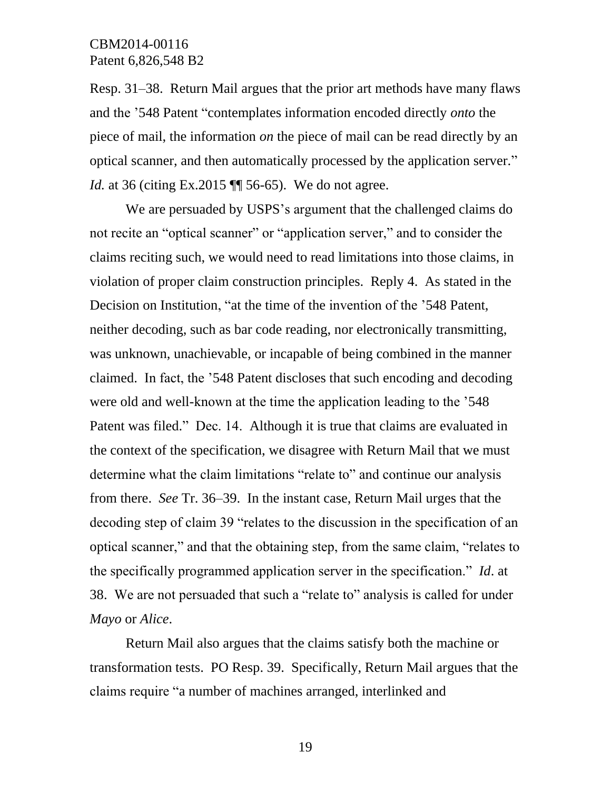Resp. 31–38. Return Mail argues that the prior art methods have many flaws and the '548 Patent "contemplates information encoded directly *onto* the piece of mail, the information *on* the piece of mail can be read directly by an optical scanner, and then automatically processed by the application server." *Id.* at 36 (citing Ex.2015 ¶ 56-65). We do not agree.

We are persuaded by USPS's argument that the challenged claims do not recite an "optical scanner" or "application server," and to consider the claims reciting such, we would need to read limitations into those claims, in violation of proper claim construction principles. Reply 4. As stated in the Decision on Institution, "at the time of the invention of the '548 Patent, neither decoding, such as bar code reading, nor electronically transmitting, was unknown, unachievable, or incapable of being combined in the manner claimed. In fact, the '548 Patent discloses that such encoding and decoding were old and well-known at the time the application leading to the '548 Patent was filed." Dec. 14. Although it is true that claims are evaluated in the context of the specification, we disagree with Return Mail that we must determine what the claim limitations "relate to" and continue our analysis from there. *See* Tr. 36–39. In the instant case, Return Mail urges that the decoding step of claim 39 "relates to the discussion in the specification of an optical scanner," and that the obtaining step, from the same claim, "relates to the specifically programmed application server in the specification." *Id*. at 38. We are not persuaded that such a "relate to" analysis is called for under *Mayo* or *Alice*.

Return Mail also argues that the claims satisfy both the machine or transformation tests. PO Resp. 39. Specifically, Return Mail argues that the claims require "a number of machines arranged, interlinked and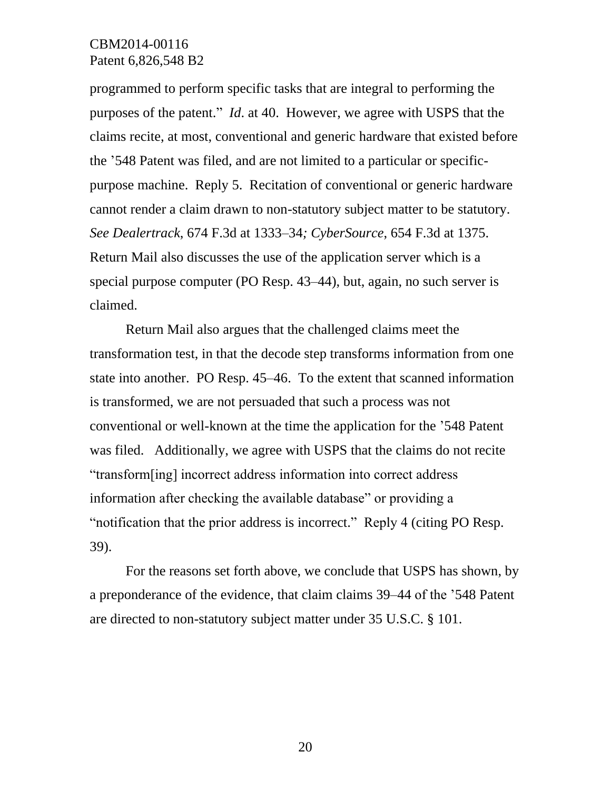programmed to perform specific tasks that are integral to performing the purposes of the patent." *Id*. at 40. However, we agree with USPS that the claims recite, at most, conventional and generic hardware that existed before the '548 Patent was filed, and are not limited to a particular or specificpurpose machine. Reply 5. Recitation of conventional or generic hardware cannot render a claim drawn to non-statutory subject matter to be statutory. *See Dealertrack*, 674 F.3d at 1333–34*; CyberSource*, 654 F.3d at 1375. Return Mail also discusses the use of the application server which is a special purpose computer (PO Resp. 43–44), but, again, no such server is claimed.

Return Mail also argues that the challenged claims meet the transformation test, in that the decode step transforms information from one state into another. PO Resp. 45–46. To the extent that scanned information is transformed, we are not persuaded that such a process was not conventional or well-known at the time the application for the '548 Patent was filed. Additionally, we agree with USPS that the claims do not recite "transform[ing] incorrect address information into correct address information after checking the available database" or providing a "notification that the prior address is incorrect." Reply 4 (citing PO Resp. 39).

For the reasons set forth above, we conclude that USPS has shown, by a preponderance of the evidence, that claim claims 39–44 of the '548 Patent are directed to non-statutory subject matter under 35 U.S.C. § 101.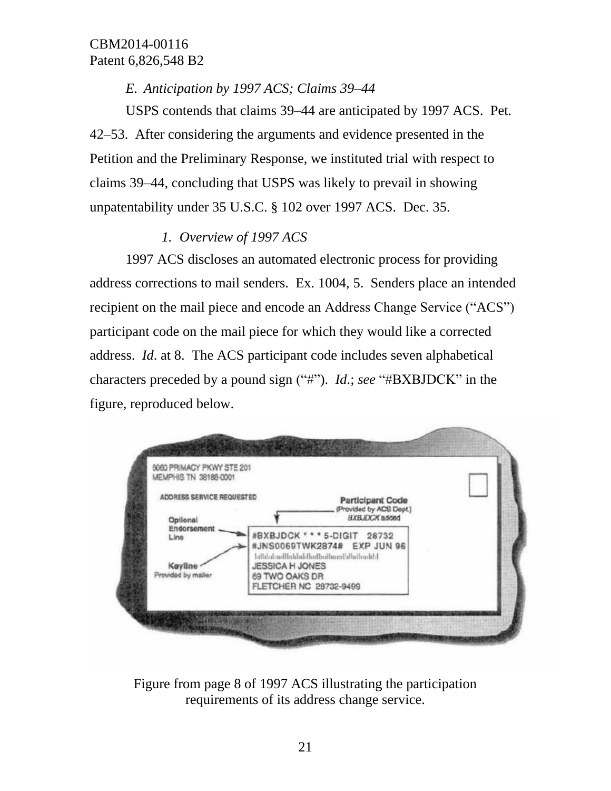*E. Anticipation by 1997 ACS; Claims 39–44*

USPS contends that claims 39–44 are anticipated by 1997 ACS. Pet. 42–53. After considering the arguments and evidence presented in the Petition and the Preliminary Response, we instituted trial with respect to claims 39–44, concluding that USPS was likely to prevail in showing unpatentability under 35 U.S.C. § 102 over 1997 ACS. Dec. 35.

# *1. Overview of 1997 ACS*

1997 ACS discloses an automated electronic process for providing address corrections to mail senders. Ex. 1004, 5. Senders place an intended recipient on the mail piece and encode an Address Change Service ("ACS") participant code on the mail piece for which they would like a corrected address. *Id*. at 8. The ACS participant code includes seven alphabetical characters preceded by a pound sign ("#"). *Id*.; *see* "#BXBJDCK" in the figure, reproduced below.

| MEMPHIS TN 38188-0001          |                                          |                                                    |  |
|--------------------------------|------------------------------------------|----------------------------------------------------|--|
| ADDRESS SERVICE REQUESTED      |                                          | <b>Participant Code</b><br>(Provided by ACS Dept.) |  |
| Optional<br><b>Endorsement</b> |                                          | <b>BXBJDCK</b> added<br>#BXBJDCK *** 5-DIGIT 28732 |  |
| Line                           |                                          | #JNS0069TWK2874# EXP JUN 96                        |  |
| Kayline                        | <b>JESSICA H JONES</b>                   | http://abadhahhttp://abadhahhttp://abadhittp:/     |  |
| Provided by maller             | 69 TWO OAKS DR<br>FLETCHER NC 28732-9499 |                                                    |  |
|                                |                                          |                                                    |  |

Figure from page 8 of 1997 ACS illustrating the participation requirements of its address change service.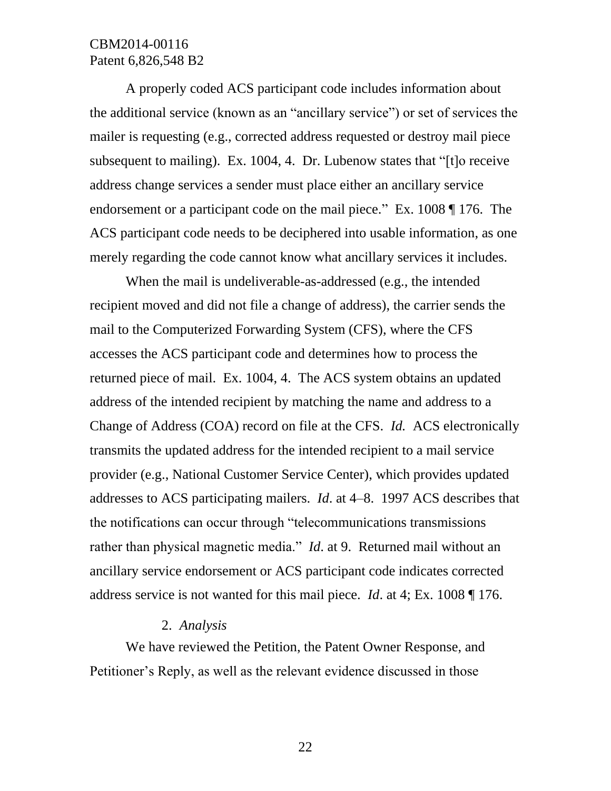A properly coded ACS participant code includes information about the additional service (known as an "ancillary service") or set of services the mailer is requesting (e.g., corrected address requested or destroy mail piece subsequent to mailing). Ex. 1004, 4. Dr. Lubenow states that "[t]o receive address change services a sender must place either an ancillary service endorsement or a participant code on the mail piece." Ex. 1008 ¶ 176. The ACS participant code needs to be deciphered into usable information, as one merely regarding the code cannot know what ancillary services it includes.

When the mail is undeliverable-as-addressed (e.g., the intended recipient moved and did not file a change of address), the carrier sends the mail to the Computerized Forwarding System (CFS), where the CFS accesses the ACS participant code and determines how to process the returned piece of mail. Ex. 1004, 4. The ACS system obtains an updated address of the intended recipient by matching the name and address to a Change of Address (COA) record on file at the CFS. *Id.* ACS electronically transmits the updated address for the intended recipient to a mail service provider (e.g., National Customer Service Center), which provides updated addresses to ACS participating mailers. *Id*. at 4–8. 1997 ACS describes that the notifications can occur through "telecommunications transmissions rather than physical magnetic media." *Id*. at 9. Returned mail without an ancillary service endorsement or ACS participant code indicates corrected address service is not wanted for this mail piece. *Id*. at 4; Ex. 1008 ¶ 176.

#### 2. *Analysis*

We have reviewed the Petition, the Patent Owner Response, and Petitioner's Reply, as well as the relevant evidence discussed in those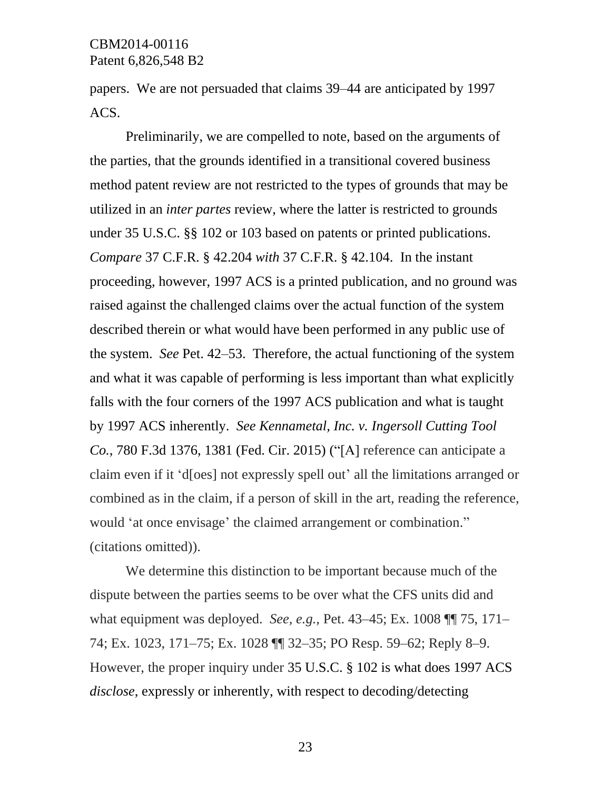papers. We are not persuaded that claims 39–44 are anticipated by 1997 ACS.

Preliminarily, we are compelled to note, based on the arguments of the parties, that the grounds identified in a transitional covered business method patent review are not restricted to the types of grounds that may be utilized in an *inter partes* review, where the latter is restricted to grounds under 35 U.S.C. §§ 102 or 103 based on patents or printed publications. *Compare* 37 C.F.R. § 42.204 *with* 37 C.F.R. § 42.104. In the instant proceeding, however, 1997 ACS is a printed publication, and no ground was raised against the challenged claims over the actual function of the system described therein or what would have been performed in any public use of the system. *See* Pet. 42–53. Therefore, the actual functioning of the system and what it was capable of performing is less important than what explicitly falls with the four corners of the 1997 ACS publication and what is taught by 1997 ACS inherently. *See Kennametal, Inc. v. Ingersoll Cutting Tool Co.*, 780 F.3d 1376, 1381 (Fed. Cir. 2015) ("[A] reference can anticipate a claim even if it 'd[oes] not expressly spell out' all the limitations arranged or combined as in the claim, if a person of skill in the art, reading the reference, would 'at once envisage' the claimed arrangement or combination." (citations omitted)).

We determine this distinction to be important because much of the dispute between the parties seems to be over what the CFS units did and what equipment was deployed. *See, e.g.*, Pet. 43–45; Ex. 1008 ¶¶ 75, 171– 74; Ex. 1023, 171–75; Ex. 1028 ¶¶ 32–35; PO Resp. 59–62; Reply 8–9. However, the proper inquiry under 35 U.S.C. § 102 is what does 1997 ACS *disclose*, expressly or inherently, with respect to decoding/detecting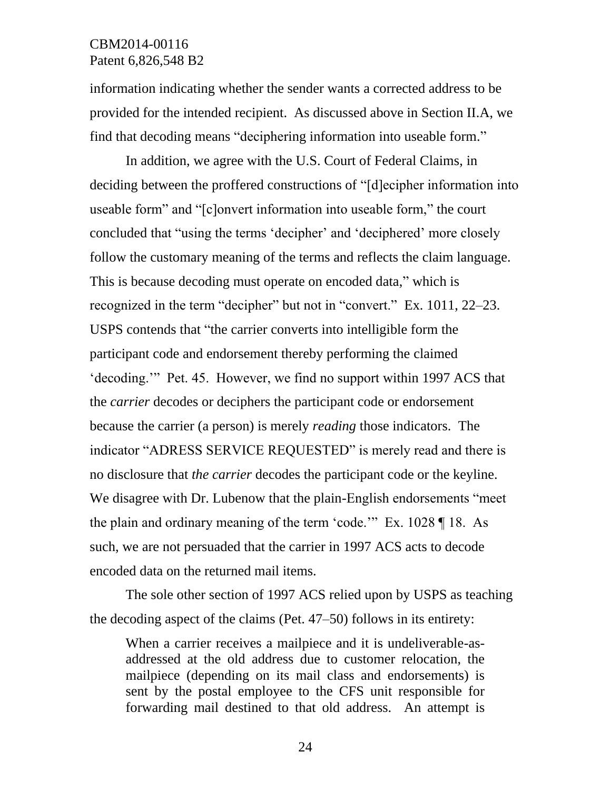information indicating whether the sender wants a corrected address to be provided for the intended recipient. As discussed above in Section II.A, we find that decoding means "deciphering information into useable form."

In addition, we agree with the U.S. Court of Federal Claims, in deciding between the proffered constructions of "[d]ecipher information into useable form" and "[c]onvert information into useable form," the court concluded that "using the terms 'decipher' and 'deciphered' more closely follow the customary meaning of the terms and reflects the claim language. This is because decoding must operate on encoded data," which is recognized in the term "decipher" but not in "convert." Ex. 1011, 22–23. USPS contends that "the carrier converts into intelligible form the participant code and endorsement thereby performing the claimed 'decoding.'" Pet. 45. However, we find no support within 1997 ACS that the *carrier* decodes or deciphers the participant code or endorsement because the carrier (a person) is merely *reading* those indicators. The indicator "ADRESS SERVICE REQUESTED" is merely read and there is no disclosure that *the carrier* decodes the participant code or the keyline. We disagree with Dr. Lubenow that the plain-English endorsements "meet the plain and ordinary meaning of the term 'code.'" Ex. 1028 ¶ 18. As such, we are not persuaded that the carrier in 1997 ACS acts to decode encoded data on the returned mail items.

The sole other section of 1997 ACS relied upon by USPS as teaching the decoding aspect of the claims (Pet. 47–50) follows in its entirety:

When a carrier receives a mailpiece and it is undeliverable-asaddressed at the old address due to customer relocation, the mailpiece (depending on its mail class and endorsements) is sent by the postal employee to the CFS unit responsible for forwarding mail destined to that old address. An attempt is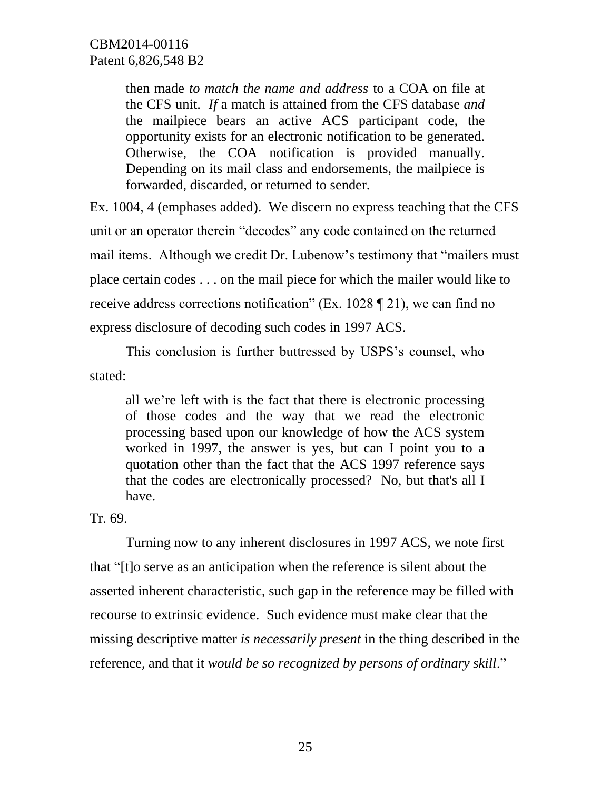then made *to match the name and address* to a COA on file at the CFS unit. *If* a match is attained from the CFS database *and* the mailpiece bears an active ACS participant code, the opportunity exists for an electronic notification to be generated. Otherwise, the COA notification is provided manually. Depending on its mail class and endorsements, the mailpiece is forwarded, discarded, or returned to sender.

Ex. 1004, 4 (emphases added). We discern no express teaching that the CFS unit or an operator therein "decodes" any code contained on the returned mail items. Although we credit Dr. Lubenow's testimony that "mailers must place certain codes . . . on the mail piece for which the mailer would like to receive address corrections notification" (Ex. 1028 ¶ 21), we can find no express disclosure of decoding such codes in 1997 ACS.

This conclusion is further buttressed by USPS's counsel, who stated:

all we're left with is the fact that there is electronic processing of those codes and the way that we read the electronic processing based upon our knowledge of how the ACS system worked in 1997, the answer is yes, but can I point you to a quotation other than the fact that the ACS 1997 reference says that the codes are electronically processed? No, but that's all I have.

Tr. 69.

Turning now to any inherent disclosures in 1997 ACS, we note first that "[t]o serve as an anticipation when the reference is silent about the asserted inherent characteristic, such gap in the reference may be filled with recourse to extrinsic evidence. Such evidence must make clear that the missing descriptive matter *is necessarily present* in the thing described in the reference, and that it *would be so recognized by persons of ordinary skill*."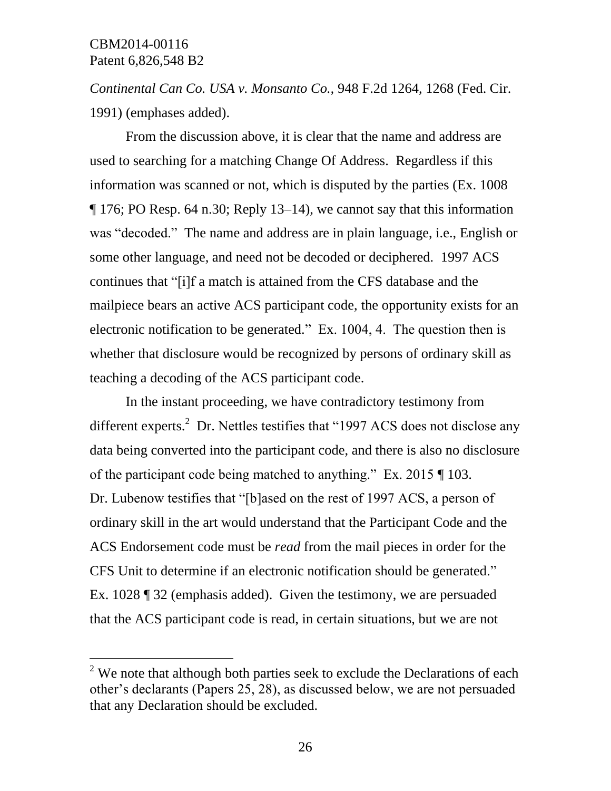l

*Continental Can Co. USA v. Monsanto Co.,* 948 F.2d 1264, 1268 (Fed. Cir. 1991) (emphases added).

From the discussion above, it is clear that the name and address are used to searching for a matching Change Of Address. Regardless if this information was scanned or not, which is disputed by the parties (Ex. 1008 ¶ 176; PO Resp. 64 n.30; Reply 13–14), we cannot say that this information was "decoded." The name and address are in plain language, i.e., English or some other language, and need not be decoded or deciphered. 1997 ACS continues that "[i]f a match is attained from the CFS database and the mailpiece bears an active ACS participant code, the opportunity exists for an electronic notification to be generated." Ex. 1004, 4. The question then is whether that disclosure would be recognized by persons of ordinary skill as teaching a decoding of the ACS participant code.

In the instant proceeding, we have contradictory testimony from different experts.<sup>2</sup> Dr. Nettles testifies that "1997 ACS does not disclose any data being converted into the participant code, and there is also no disclosure of the participant code being matched to anything." Ex. 2015 ¶ 103. Dr. Lubenow testifies that "[b]ased on the rest of 1997 ACS, a person of ordinary skill in the art would understand that the Participant Code and the ACS Endorsement code must be *read* from the mail pieces in order for the CFS Unit to determine if an electronic notification should be generated." Ex. 1028 ¶ 32 (emphasis added). Given the testimony, we are persuaded that the ACS participant code is read, in certain situations, but we are not

 $2$  We note that although both parties seek to exclude the Declarations of each other's declarants (Papers 25, 28), as discussed below, we are not persuaded that any Declaration should be excluded.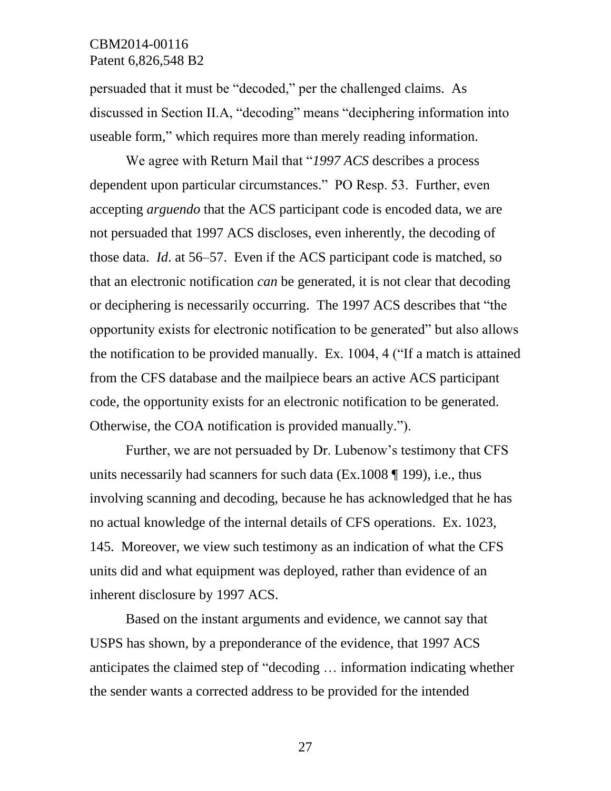persuaded that it must be "decoded," per the challenged claims. As discussed in Section II.A, "decoding" means "deciphering information into useable form," which requires more than merely reading information.

We agree with Return Mail that "*1997 ACS* describes a process dependent upon particular circumstances." PO Resp. 53. Further, even accepting *arguendo* that the ACS participant code is encoded data, we are not persuaded that 1997 ACS discloses, even inherently, the decoding of those data. *Id*. at 56–57. Even if the ACS participant code is matched, so that an electronic notification *can* be generated, it is not clear that decoding or deciphering is necessarily occurring. The 1997 ACS describes that "the opportunity exists for electronic notification to be generated" but also allows the notification to be provided manually. Ex. 1004, 4 ("If a match is attained from the CFS database and the mailpiece bears an active ACS participant code, the opportunity exists for an electronic notification to be generated. Otherwise, the COA notification is provided manually.").

Further, we are not persuaded by Dr. Lubenow's testimony that CFS units necessarily had scanners for such data (Ex.1008 ¶ 199), i.e., thus involving scanning and decoding, because he has acknowledged that he has no actual knowledge of the internal details of CFS operations. Ex. 1023, 145. Moreover, we view such testimony as an indication of what the CFS units did and what equipment was deployed, rather than evidence of an inherent disclosure by 1997 ACS.

Based on the instant arguments and evidence, we cannot say that USPS has shown, by a preponderance of the evidence, that 1997 ACS anticipates the claimed step of "decoding … information indicating whether the sender wants a corrected address to be provided for the intended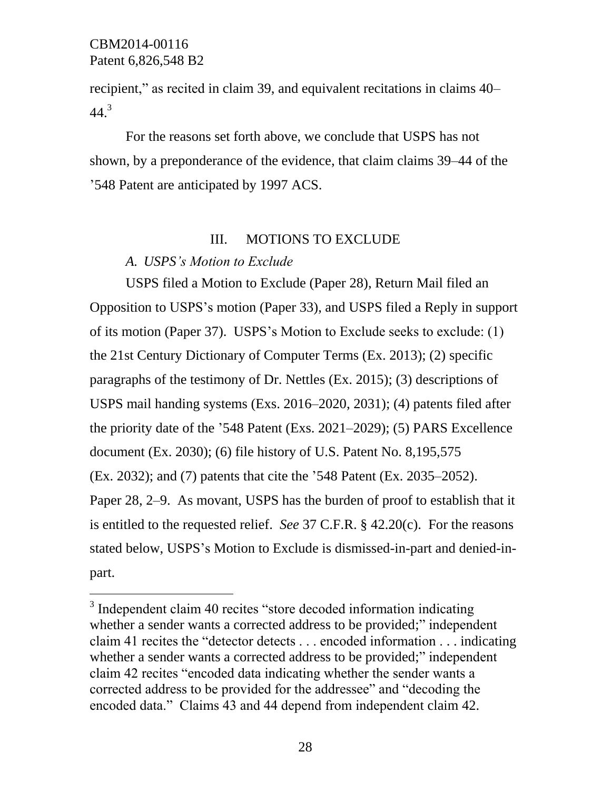$\overline{a}$ 

recipient," as recited in claim 39, and equivalent recitations in claims 40–  $44.3$ 

For the reasons set forth above, we conclude that USPS has not shown, by a preponderance of the evidence, that claim claims 39–44 of the '548 Patent are anticipated by 1997 ACS.

#### III. MOTIONS TO EXCLUDE

## *A. USPS's Motion to Exclude*

USPS filed a Motion to Exclude (Paper 28), Return Mail filed an Opposition to USPS's motion (Paper 33), and USPS filed a Reply in support of its motion (Paper 37). USPS's Motion to Exclude seeks to exclude: (1) the 21st Century Dictionary of Computer Terms (Ex. 2013); (2) specific paragraphs of the testimony of Dr. Nettles (Ex. 2015); (3) descriptions of USPS mail handing systems (Exs. 2016–2020, 2031); (4) patents filed after the priority date of the '548 Patent (Exs. 2021–2029); (5) PARS Excellence document (Ex. 2030); (6) file history of U.S. Patent No. 8,195,575 (Ex. 2032); and (7) patents that cite the '548 Patent (Ex. 2035–2052). Paper 28, 2–9. As movant, USPS has the burden of proof to establish that it is entitled to the requested relief. *See* 37 C.F.R. § 42.20(c). For the reasons stated below, USPS's Motion to Exclude is dismissed-in-part and denied-inpart.

<sup>&</sup>lt;sup>3</sup> Independent claim 40 recites "store decoded information indicating whether a sender wants a corrected address to be provided;" independent claim 41 recites the "detector detects . . . encoded information . . . indicating whether a sender wants a corrected address to be provided;" independent claim 42 recites "encoded data indicating whether the sender wants a corrected address to be provided for the addressee" and "decoding the encoded data." Claims 43 and 44 depend from independent claim 42.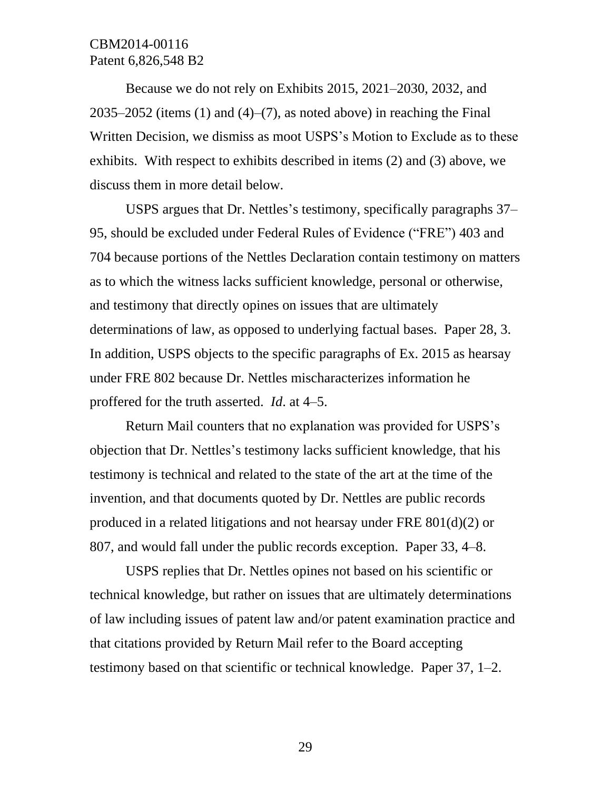Because we do not rely on Exhibits 2015, 2021–2030, 2032, and 2035–2052 (items  $(1)$  and  $(4)$ – $(7)$ , as noted above) in reaching the Final Written Decision, we dismiss as moot USPS's Motion to Exclude as to these exhibits. With respect to exhibits described in items (2) and (3) above, we discuss them in more detail below.

USPS argues that Dr. Nettles's testimony, specifically paragraphs 37– 95, should be excluded under Federal Rules of Evidence ("FRE") 403 and 704 because portions of the Nettles Declaration contain testimony on matters as to which the witness lacks sufficient knowledge, personal or otherwise, and testimony that directly opines on issues that are ultimately determinations of law, as opposed to underlying factual bases. Paper 28, 3. In addition, USPS objects to the specific paragraphs of Ex. 2015 as hearsay under FRE 802 because Dr. Nettles mischaracterizes information he proffered for the truth asserted. *Id*. at 4–5.

Return Mail counters that no explanation was provided for USPS's objection that Dr. Nettles's testimony lacks sufficient knowledge, that his testimony is technical and related to the state of the art at the time of the invention, and that documents quoted by Dr. Nettles are public records produced in a related litigations and not hearsay under FRE 801(d)(2) or 807, and would fall under the public records exception. Paper 33, 4–8.

USPS replies that Dr. Nettles opines not based on his scientific or technical knowledge, but rather on issues that are ultimately determinations of law including issues of patent law and/or patent examination practice and that citations provided by Return Mail refer to the Board accepting testimony based on that scientific or technical knowledge. Paper 37, 1–2.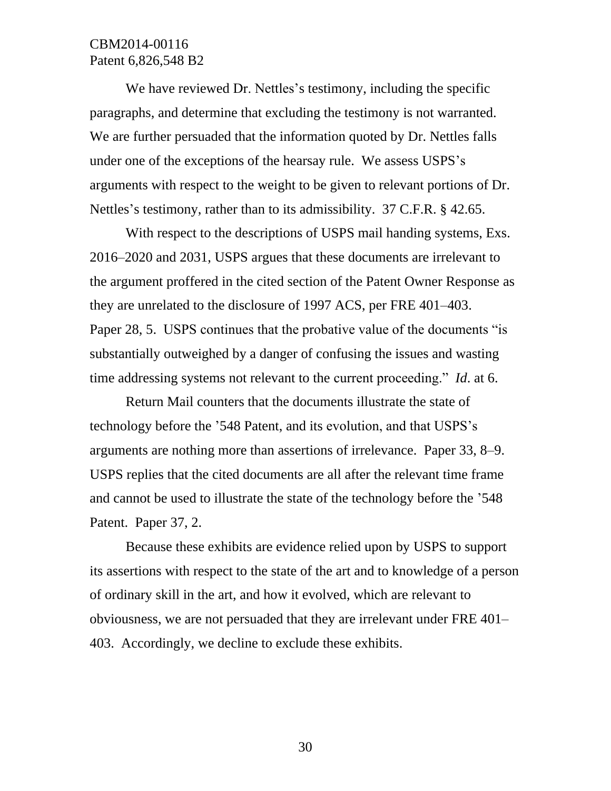We have reviewed Dr. Nettles's testimony, including the specific paragraphs, and determine that excluding the testimony is not warranted. We are further persuaded that the information quoted by Dr. Nettles falls under one of the exceptions of the hearsay rule. We assess USPS's arguments with respect to the weight to be given to relevant portions of Dr. Nettles's testimony, rather than to its admissibility. 37 C.F.R. § 42.65.

With respect to the descriptions of USPS mail handing systems, Exs. 2016–2020 and 2031, USPS argues that these documents are irrelevant to the argument proffered in the cited section of the Patent Owner Response as they are unrelated to the disclosure of 1997 ACS, per FRE 401–403. Paper 28, 5. USPS continues that the probative value of the documents "is substantially outweighed by a danger of confusing the issues and wasting time addressing systems not relevant to the current proceeding." *Id*. at 6.

Return Mail counters that the documents illustrate the state of technology before the '548 Patent, and its evolution, and that USPS's arguments are nothing more than assertions of irrelevance. Paper 33, 8–9. USPS replies that the cited documents are all after the relevant time frame and cannot be used to illustrate the state of the technology before the '548 Patent. Paper 37, 2.

Because these exhibits are evidence relied upon by USPS to support its assertions with respect to the state of the art and to knowledge of a person of ordinary skill in the art, and how it evolved, which are relevant to obviousness, we are not persuaded that they are irrelevant under FRE 401– 403. Accordingly, we decline to exclude these exhibits.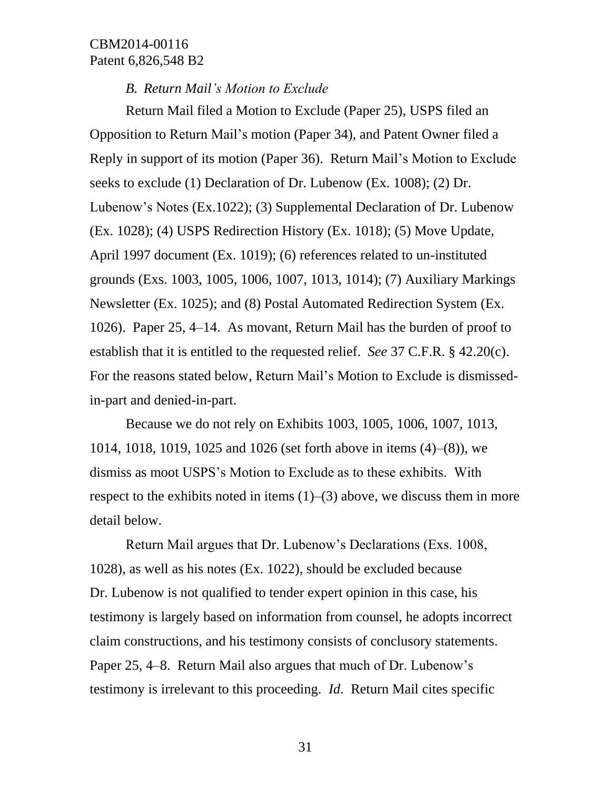#### *B. Return Mail's Motion to Exclude*

Return Mail filed a Motion to Exclude (Paper 25), USPS filed an Opposition to Return Mail's motion (Paper 34), and Patent Owner filed a Reply in support of its motion (Paper 36). Return Mail's Motion to Exclude seeks to exclude (1) Declaration of Dr. Lubenow (Ex. 1008); (2) Dr. Lubenow's Notes (Ex.1022); (3) Supplemental Declaration of Dr. Lubenow (Ex. 1028); (4) USPS Redirection History (Ex. 1018); (5) Move Update, April 1997 document (Ex. 1019); (6) references related to un-instituted grounds (Exs. 1003, 1005, 1006, 1007, 1013, 1014); (7) Auxiliary Markings Newsletter (Ex. 1025); and (8) Postal Automated Redirection System (Ex. 1026). Paper 25, 4–14. As movant, Return Mail has the burden of proof to establish that it is entitled to the requested relief. *See* 37 C.F.R. § 42.20(c). For the reasons stated below, Return Mail's Motion to Exclude is dismissedin-part and denied-in-part.

Because we do not rely on Exhibits 1003, 1005, 1006, 1007, 1013, 1014, 1018, 1019, 1025 and 1026 (set forth above in items (4)–(8)), we dismiss as moot USPS's Motion to Exclude as to these exhibits. With respect to the exhibits noted in items  $(1)$ – $(3)$  above, we discuss them in more detail below.

Return Mail argues that Dr. Lubenow's Declarations (Exs. 1008, 1028), as well as his notes (Ex. 1022), should be excluded because Dr. Lubenow is not qualified to tender expert opinion in this case, his testimony is largely based on information from counsel, he adopts incorrect claim constructions, and his testimony consists of conclusory statements. Paper 25, 4–8. Return Mail also argues that much of Dr. Lubenow's testimony is irrelevant to this proceeding. *Id*. Return Mail cites specific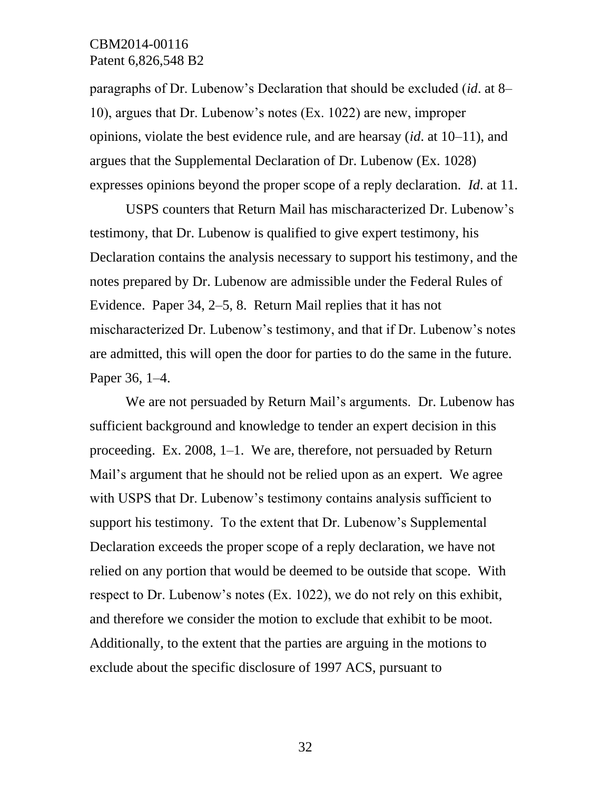paragraphs of Dr. Lubenow's Declaration that should be excluded (*id*. at 8– 10), argues that Dr. Lubenow's notes (Ex. 1022) are new, improper opinions, violate the best evidence rule, and are hearsay (*id*. at 10–11), and argues that the Supplemental Declaration of Dr. Lubenow (Ex. 1028) expresses opinions beyond the proper scope of a reply declaration. *Id*. at 11.

USPS counters that Return Mail has mischaracterized Dr. Lubenow's testimony, that Dr. Lubenow is qualified to give expert testimony, his Declaration contains the analysis necessary to support his testimony, and the notes prepared by Dr. Lubenow are admissible under the Federal Rules of Evidence. Paper 34, 2–5, 8. Return Mail replies that it has not mischaracterized Dr. Lubenow's testimony, and that if Dr. Lubenow's notes are admitted, this will open the door for parties to do the same in the future. Paper 36, 1–4.

We are not persuaded by Return Mail's arguments. Dr. Lubenow has sufficient background and knowledge to tender an expert decision in this proceeding. Ex. 2008, 1–1. We are, therefore, not persuaded by Return Mail's argument that he should not be relied upon as an expert. We agree with USPS that Dr. Lubenow's testimony contains analysis sufficient to support his testimony. To the extent that Dr. Lubenow's Supplemental Declaration exceeds the proper scope of a reply declaration, we have not relied on any portion that would be deemed to be outside that scope. With respect to Dr. Lubenow's notes (Ex. 1022), we do not rely on this exhibit, and therefore we consider the motion to exclude that exhibit to be moot. Additionally, to the extent that the parties are arguing in the motions to exclude about the specific disclosure of 1997 ACS, pursuant to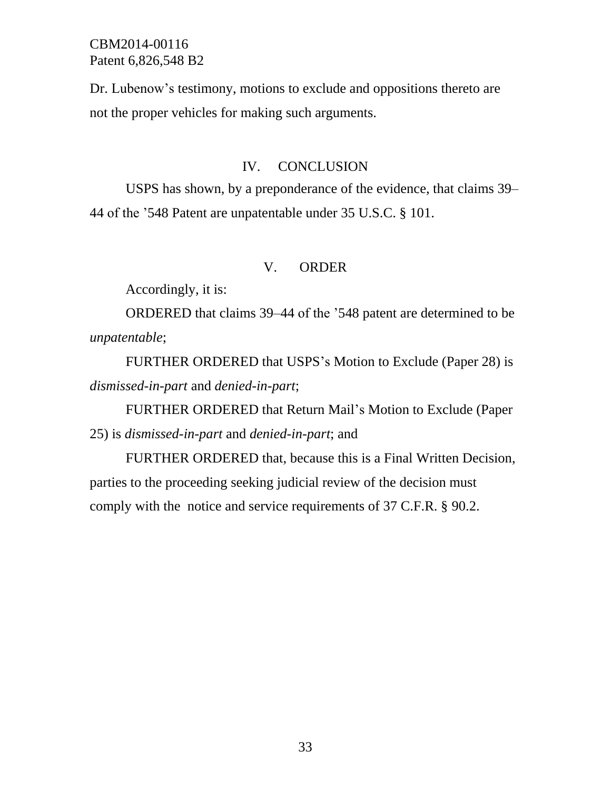Dr. Lubenow's testimony, motions to exclude and oppositions thereto are not the proper vehicles for making such arguments.

#### IV. CONCLUSION

USPS has shown, by a preponderance of the evidence, that claims 39– 44 of the '548 Patent are unpatentable under 35 U.S.C. § 101.

#### V. ORDER

Accordingly, it is:

ORDERED that claims 39–44 of the '548 patent are determined to be *unpatentable*;

FURTHER ORDERED that USPS's Motion to Exclude (Paper 28) is *dismissed-in-part* and *denied-in-part*;

FURTHER ORDERED that Return Mail's Motion to Exclude (Paper 25) is *dismissed-in-part* and *denied-in-part*; and

FURTHER ORDERED that, because this is a Final Written Decision, parties to the proceeding seeking judicial review of the decision must comply with the notice and service requirements of 37 C.F.R. § 90.2.